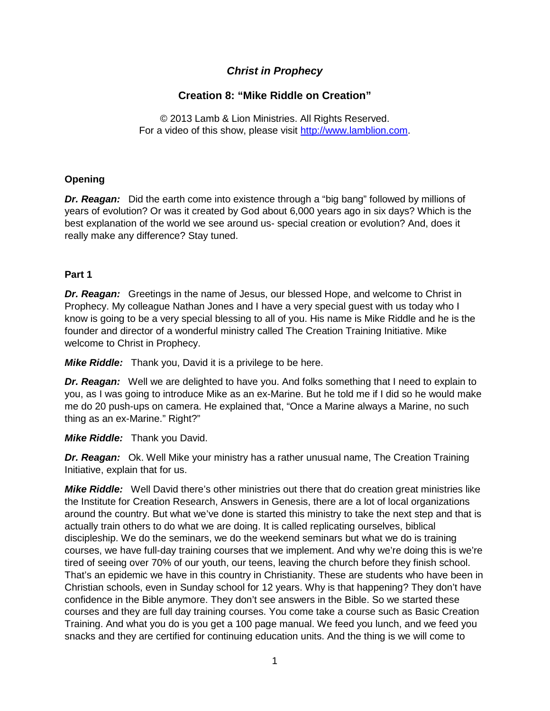# *Christ in Prophecy*

# **Creation 8: "Mike Riddle on Creation"**

© 2013 Lamb & Lion Ministries. All Rights Reserved. For a video of this show, please visit [http://www.lamblion.com.](http://www.lamblion.com/)

## **Opening**

*Dr. Reagan:* Did the earth come into existence through a "big bang" followed by millions of years of evolution? Or was it created by God about 6,000 years ago in six days? Which is the best explanation of the world we see around us- special creation or evolution? And, does it really make any difference? Stay tuned.

## **Part 1**

*Dr. Reagan:* Greetings in the name of Jesus, our blessed Hope, and welcome to Christ in Prophecy. My colleague Nathan Jones and I have a very special guest with us today who I know is going to be a very special blessing to all of you. His name is Mike Riddle and he is the founder and director of a wonderful ministry called The Creation Training Initiative. Mike welcome to Christ in Prophecy.

*Mike Riddle:* Thank you, David it is a privilege to be here.

*Dr. Reagan:* Well we are delighted to have you. And folks something that I need to explain to you, as I was going to introduce Mike as an ex-Marine. But he told me if I did so he would make me do 20 push-ups on camera. He explained that, "Once a Marine always a Marine, no such thing as an ex-Marine." Right?"

## *Mike Riddle:* Thank you David.

*Dr. Reagan:* Ok. Well Mike your ministry has a rather unusual name, The Creation Training Initiative, explain that for us.

*Mike Riddle:* Well David there's other ministries out there that do creation great ministries like the Institute for Creation Research, Answers in Genesis, there are a lot of local organizations around the country. But what we've done is started this ministry to take the next step and that is actually train others to do what we are doing. It is called replicating ourselves, biblical discipleship. We do the seminars, we do the weekend seminars but what we do is training courses, we have full-day training courses that we implement. And why we're doing this is we're tired of seeing over 70% of our youth, our teens, leaving the church before they finish school. That's an epidemic we have in this country in Christianity. These are students who have been in Christian schools, even in Sunday school for 12 years. Why is that happening? They don't have confidence in the Bible anymore. They don't see answers in the Bible. So we started these courses and they are full day training courses. You come take a course such as Basic Creation Training. And what you do is you get a 100 page manual. We feed you lunch, and we feed you snacks and they are certified for continuing education units. And the thing is we will come to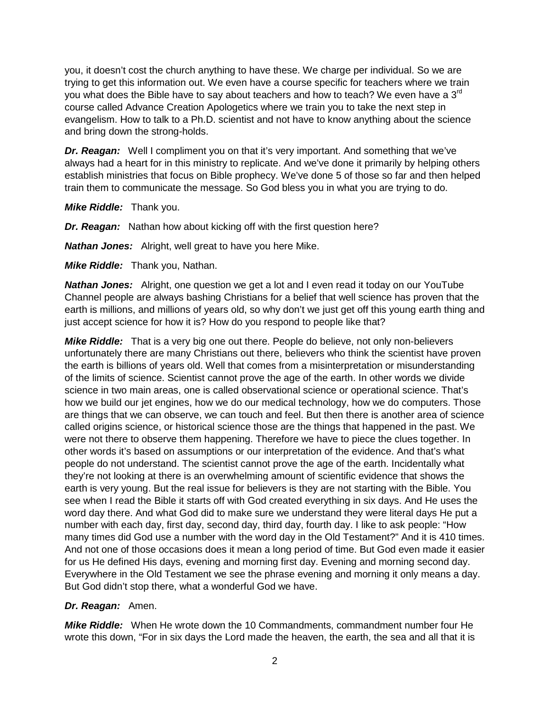you, it doesn't cost the church anything to have these. We charge per individual. So we are trying to get this information out. We even have a course specific for teachers where we train you what does the Bible have to say about teachers and how to teach? We even have a  $3<sup>rd</sup>$ course called Advance Creation Apologetics where we train you to take the next step in evangelism. How to talk to a Ph.D. scientist and not have to know anything about the science and bring down the strong-holds.

*Dr. Reagan:* Well I compliment you on that it's very important. And something that we've always had a heart for in this ministry to replicate. And we've done it primarily by helping others establish ministries that focus on Bible prophecy. We've done 5 of those so far and then helped train them to communicate the message. So God bless you in what you are trying to do.

*Mike Riddle:* Thank you.

*Dr. Reagan:* Nathan how about kicking off with the first question here?

*Nathan Jones:* Alright, well great to have you here Mike.

*Mike Riddle:* Thank you, Nathan.

*Nathan Jones:* Alright, one question we get a lot and I even read it today on our YouTube Channel people are always bashing Christians for a belief that well science has proven that the earth is millions, and millions of years old, so why don't we just get off this young earth thing and just accept science for how it is? How do you respond to people like that?

*Mike Riddle:* That is a very big one out there. People do believe, not only non-believers unfortunately there are many Christians out there, believers who think the scientist have proven the earth is billions of years old. Well that comes from a misinterpretation or misunderstanding of the limits of science. Scientist cannot prove the age of the earth. In other words we divide science in two main areas, one is called observational science or operational science. That's how we build our jet engines, how we do our medical technology, how we do computers. Those are things that we can observe, we can touch and feel. But then there is another area of science called origins science, or historical science those are the things that happened in the past. We were not there to observe them happening. Therefore we have to piece the clues together. In other words it's based on assumptions or our interpretation of the evidence. And that's what people do not understand. The scientist cannot prove the age of the earth. Incidentally what they're not looking at there is an overwhelming amount of scientific evidence that shows the earth is very young. But the real issue for believers is they are not starting with the Bible. You see when I read the Bible it starts off with God created everything in six days. And He uses the word day there. And what God did to make sure we understand they were literal days He put a number with each day, first day, second day, third day, fourth day. I like to ask people: "How many times did God use a number with the word day in the Old Testament?" And it is 410 times. And not one of those occasions does it mean a long period of time. But God even made it easier for us He defined His days, evening and morning first day. Evening and morning second day. Everywhere in the Old Testament we see the phrase evening and morning it only means a day. But God didn't stop there, what a wonderful God we have.

## *Dr. Reagan:* Amen.

*Mike Riddle:* When He wrote down the 10 Commandments, commandment number four He wrote this down, "For in six days the Lord made the heaven, the earth, the sea and all that it is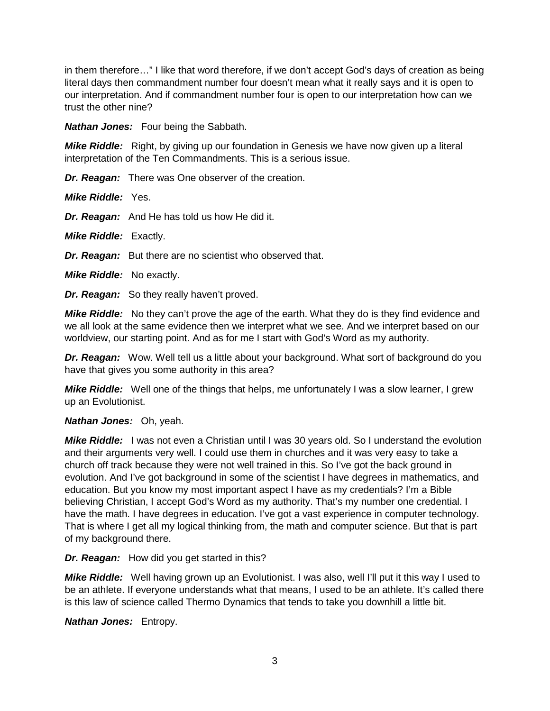in them therefore…" I like that word therefore, if we don't accept God's days of creation as being literal days then commandment number four doesn't mean what it really says and it is open to our interpretation. And if commandment number four is open to our interpretation how can we trust the other nine?

*Nathan Jones:* Four being the Sabbath.

*Mike Riddle:* Right, by giving up our foundation in Genesis we have now given up a literal interpretation of the Ten Commandments. This is a serious issue.

*Dr. Reagan:* There was One observer of the creation.

*Mike Riddle:* Yes.

*Dr. Reagan:* And He has told us how He did it.

*Mike Riddle:* Exactly.

*Dr. Reagan:* But there are no scientist who observed that.

*Mike Riddle:* No exactly.

*Dr. Reagan:* So they really haven't proved.

*Mike Riddle:* No they can't prove the age of the earth. What they do is they find evidence and we all look at the same evidence then we interpret what we see. And we interpret based on our worldview, our starting point. And as for me I start with God's Word as my authority.

*Dr. Reagan:* Wow. Well tell us a little about your background. What sort of background do you have that gives you some authority in this area?

*Mike Riddle:* Well one of the things that helps, me unfortunately I was a slow learner, I grew up an Evolutionist.

#### *Nathan Jones:* Oh, yeah.

*Mike Riddle:* I was not even a Christian until I was 30 years old. So I understand the evolution and their arguments very well. I could use them in churches and it was very easy to take a church off track because they were not well trained in this. So I've got the back ground in evolution. And I've got background in some of the scientist I have degrees in mathematics, and education. But you know my most important aspect I have as my credentials? I'm a Bible believing Christian, I accept God's Word as my authority. That's my number one credential. I have the math. I have degrees in education. I've got a vast experience in computer technology. That is where I get all my logical thinking from, the math and computer science. But that is part of my background there.

#### *Dr. Reagan:* How did you get started in this?

*Mike Riddle:* Well having grown up an Evolutionist. I was also, well I'll put it this way I used to be an athlete. If everyone understands what that means, I used to be an athlete. It's called there is this law of science called Thermo Dynamics that tends to take you downhill a little bit.

*Nathan Jones:* Entropy.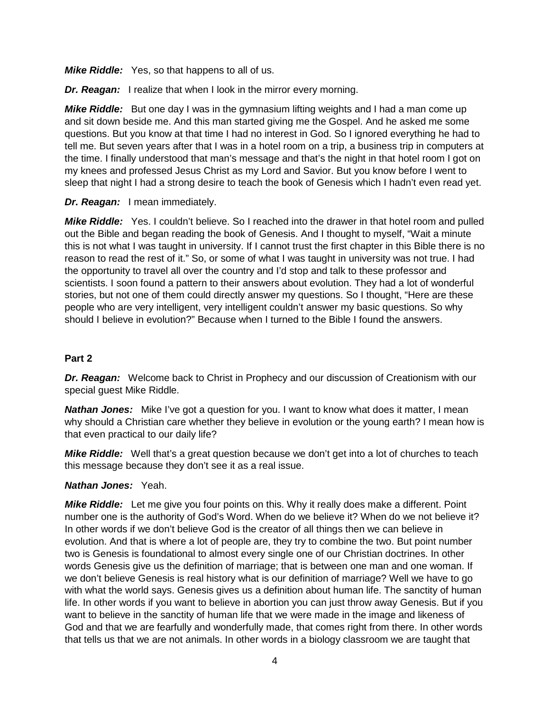*Mike Riddle:* Yes, so that happens to all of us.

*Dr. Reagan:* I realize that when I look in the mirror every morning.

*Mike Riddle:* But one day I was in the gymnasium lifting weights and I had a man come up and sit down beside me. And this man started giving me the Gospel. And he asked me some questions. But you know at that time I had no interest in God. So I ignored everything he had to tell me. But seven years after that I was in a hotel room on a trip, a business trip in computers at the time. I finally understood that man's message and that's the night in that hotel room I got on my knees and professed Jesus Christ as my Lord and Savior. But you know before I went to sleep that night I had a strong desire to teach the book of Genesis which I hadn't even read yet.

*Dr. Reagan:* I mean immediately.

*Mike Riddle:* Yes. I couldn't believe. So I reached into the drawer in that hotel room and pulled out the Bible and began reading the book of Genesis. And I thought to myself, "Wait a minute this is not what I was taught in university. If I cannot trust the first chapter in this Bible there is no reason to read the rest of it." So, or some of what I was taught in university was not true. I had the opportunity to travel all over the country and I'd stop and talk to these professor and scientists. I soon found a pattern to their answers about evolution. They had a lot of wonderful stories, but not one of them could directly answer my questions. So I thought, "Here are these people who are very intelligent, very intelligent couldn't answer my basic questions. So why should I believe in evolution?" Because when I turned to the Bible I found the answers.

## **Part 2**

*Dr. Reagan:* Welcome back to Christ in Prophecy and our discussion of Creationism with our special guest Mike Riddle.

**Nathan Jones:** Mike I've got a question for you. I want to know what does it matter, I mean why should a Christian care whether they believe in evolution or the young earth? I mean how is that even practical to our daily life?

*Mike Riddle:* Well that's a great question because we don't get into a lot of churches to teach this message because they don't see it as a real issue.

## *Nathan Jones:* Yeah.

*Mike Riddle:* Let me give you four points on this. Why it really does make a different. Point number one is the authority of God's Word. When do we believe it? When do we not believe it? In other words if we don't believe God is the creator of all things then we can believe in evolution. And that is where a lot of people are, they try to combine the two. But point number two is Genesis is foundational to almost every single one of our Christian doctrines. In other words Genesis give us the definition of marriage; that is between one man and one woman. If we don't believe Genesis is real history what is our definition of marriage? Well we have to go with what the world says. Genesis gives us a definition about human life. The sanctity of human life. In other words if you want to believe in abortion you can just throw away Genesis. But if you want to believe in the sanctity of human life that we were made in the image and likeness of God and that we are fearfully and wonderfully made, that comes right from there. In other words that tells us that we are not animals. In other words in a biology classroom we are taught that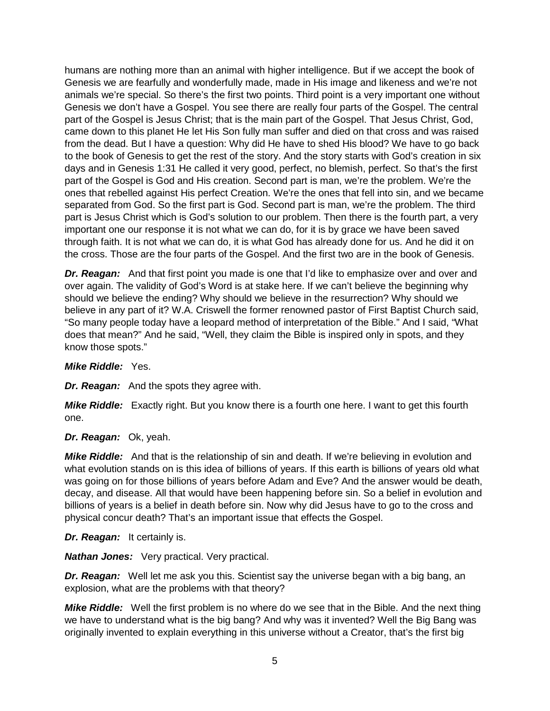humans are nothing more than an animal with higher intelligence. But if we accept the book of Genesis we are fearfully and wonderfully made, made in His image and likeness and we're not animals we're special. So there's the first two points. Third point is a very important one without Genesis we don't have a Gospel. You see there are really four parts of the Gospel. The central part of the Gospel is Jesus Christ; that is the main part of the Gospel. That Jesus Christ, God, came down to this planet He let His Son fully man suffer and died on that cross and was raised from the dead. But I have a question: Why did He have to shed His blood? We have to go back to the book of Genesis to get the rest of the story. And the story starts with God's creation in six days and in Genesis 1:31 He called it very good, perfect, no blemish, perfect. So that's the first part of the Gospel is God and His creation. Second part is man, we're the problem. We're the ones that rebelled against His perfect Creation. We're the ones that fell into sin, and we became separated from God. So the first part is God. Second part is man, we're the problem. The third part is Jesus Christ which is God's solution to our problem. Then there is the fourth part, a very important one our response it is not what we can do, for it is by grace we have been saved through faith. It is not what we can do, it is what God has already done for us. And he did it on the cross. Those are the four parts of the Gospel. And the first two are in the book of Genesis.

**Dr. Reagan:** And that first point you made is one that I'd like to emphasize over and over and over again. The validity of God's Word is at stake here. If we can't believe the beginning why should we believe the ending? Why should we believe in the resurrection? Why should we believe in any part of it? W.A. Criswell the former renowned pastor of First Baptist Church said, "So many people today have a leopard method of interpretation of the Bible." And I said, "What does that mean?" And he said, "Well, they claim the Bible is inspired only in spots, and they know those spots."

#### *Mike Riddle:* Yes.

*Dr. Reagan:* And the spots they agree with.

*Mike Riddle:* Exactly right. But you know there is a fourth one here. I want to get this fourth one.

## *Dr. Reagan:* Ok, yeah.

*Mike Riddle:* And that is the relationship of sin and death. If we're believing in evolution and what evolution stands on is this idea of billions of years. If this earth is billions of years old what was going on for those billions of years before Adam and Eve? And the answer would be death, decay, and disease. All that would have been happening before sin. So a belief in evolution and billions of years is a belief in death before sin. Now why did Jesus have to go to the cross and physical concur death? That's an important issue that effects the Gospel.

#### *Dr. Reagan:* It certainly is.

*Nathan Jones:* Very practical. Very practical.

*Dr. Reagan:* Well let me ask you this. Scientist say the universe began with a big bang, an explosion, what are the problems with that theory?

*Mike Riddle:* Well the first problem is no where do we see that in the Bible. And the next thing we have to understand what is the big bang? And why was it invented? Well the Big Bang was originally invented to explain everything in this universe without a Creator, that's the first big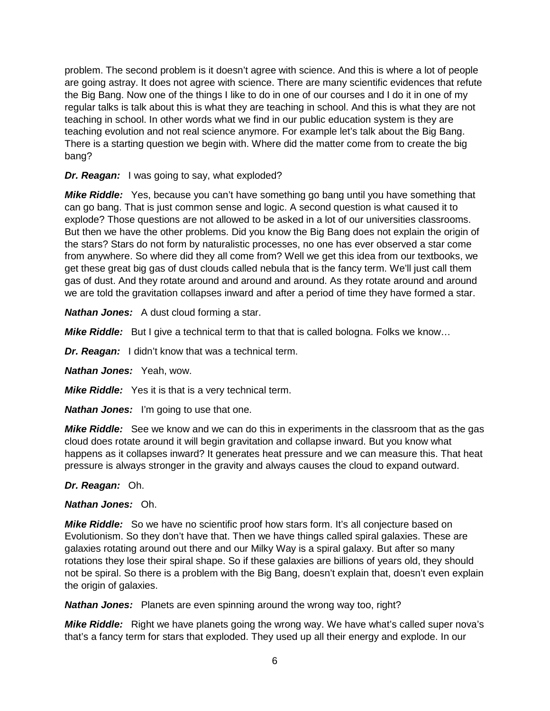problem. The second problem is it doesn't agree with science. And this is where a lot of people are going astray. It does not agree with science. There are many scientific evidences that refute the Big Bang. Now one of the things I like to do in one of our courses and I do it in one of my regular talks is talk about this is what they are teaching in school. And this is what they are not teaching in school. In other words what we find in our public education system is they are teaching evolution and not real science anymore. For example let's talk about the Big Bang. There is a starting question we begin with. Where did the matter come from to create the big bang?

*Dr. Reagan:* I was going to say, what exploded?

*Mike Riddle:* Yes, because you can't have something go bang until you have something that can go bang. That is just common sense and logic. A second question is what caused it to explode? Those questions are not allowed to be asked in a lot of our universities classrooms. But then we have the other problems. Did you know the Big Bang does not explain the origin of the stars? Stars do not form by naturalistic processes, no one has ever observed a star come from anywhere. So where did they all come from? Well we get this idea from our textbooks, we get these great big gas of dust clouds called nebula that is the fancy term. We'll just call them gas of dust. And they rotate around and around and around. As they rotate around and around we are told the gravitation collapses inward and after a period of time they have formed a star.

*Nathan Jones:* A dust cloud forming a star.

*Mike Riddle:* But I give a technical term to that that is called bologna. Folks we know…

*Dr. Reagan:* I didn't know that was a technical term.

*Nathan Jones:* Yeah, wow.

*Mike Riddle:* Yes it is that is a very technical term.

*Nathan Jones:* I'm going to use that one.

*Mike Riddle:* See we know and we can do this in experiments in the classroom that as the gas cloud does rotate around it will begin gravitation and collapse inward. But you know what happens as it collapses inward? It generates heat pressure and we can measure this. That heat pressure is always stronger in the gravity and always causes the cloud to expand outward.

## *Dr. Reagan:* Oh.

#### *Nathan Jones:* Oh.

*Mike Riddle:* So we have no scientific proof how stars form. It's all conjecture based on Evolutionism. So they don't have that. Then we have things called spiral galaxies. These are galaxies rotating around out there and our Milky Way is a spiral galaxy. But after so many rotations they lose their spiral shape. So if these galaxies are billions of years old, they should not be spiral. So there is a problem with the Big Bang, doesn't explain that, doesn't even explain the origin of galaxies.

*Nathan Jones:* Planets are even spinning around the wrong way too, right?

*Mike Riddle:* Right we have planets going the wrong way. We have what's called super nova's that's a fancy term for stars that exploded. They used up all their energy and explode. In our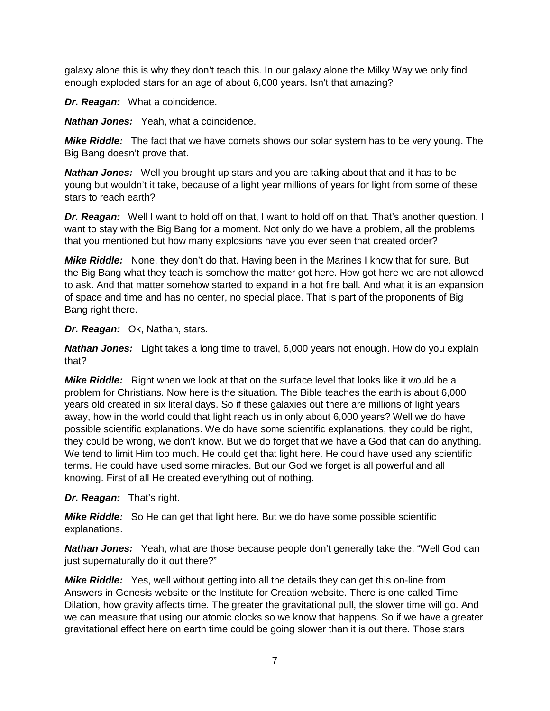galaxy alone this is why they don't teach this. In our galaxy alone the Milky Way we only find enough exploded stars for an age of about 6,000 years. Isn't that amazing?

*Dr. Reagan:* What a coincidence.

*Nathan Jones:* Yeah, what a coincidence.

*Mike Riddle:* The fact that we have comets shows our solar system has to be very young. The Big Bang doesn't prove that.

*Nathan Jones:* Well you brought up stars and you are talking about that and it has to be young but wouldn't it take, because of a light year millions of years for light from some of these stars to reach earth?

*Dr. Reagan:* Well I want to hold off on that, I want to hold off on that. That's another question. I want to stay with the Big Bang for a moment. Not only do we have a problem, all the problems that you mentioned but how many explosions have you ever seen that created order?

*Mike Riddle:* None, they don't do that. Having been in the Marines I know that for sure. But the Big Bang what they teach is somehow the matter got here. How got here we are not allowed to ask. And that matter somehow started to expand in a hot fire ball. And what it is an expansion of space and time and has no center, no special place. That is part of the proponents of Big Bang right there.

*Dr. Reagan:* Ok, Nathan, stars.

*Nathan Jones:* Light takes a long time to travel, 6,000 years not enough. How do you explain that?

*Mike Riddle:* Right when we look at that on the surface level that looks like it would be a problem for Christians. Now here is the situation. The Bible teaches the earth is about 6,000 years old created in six literal days. So if these galaxies out there are millions of light years away, how in the world could that light reach us in only about 6,000 years? Well we do have possible scientific explanations. We do have some scientific explanations, they could be right, they could be wrong, we don't know. But we do forget that we have a God that can do anything. We tend to limit Him too much. He could get that light here. He could have used any scientific terms. He could have used some miracles. But our God we forget is all powerful and all knowing. First of all He created everything out of nothing.

*Dr. Reagan:* That's right.

*Mike Riddle:* So He can get that light here. But we do have some possible scientific explanations.

*Nathan Jones:* Yeah, what are those because people don't generally take the, "Well God can just supernaturally do it out there?"

*Mike Riddle:* Yes, well without getting into all the details they can get this on-line from Answers in Genesis website or the Institute for Creation website. There is one called Time Dilation, how gravity affects time. The greater the gravitational pull, the slower time will go. And we can measure that using our atomic clocks so we know that happens. So if we have a greater gravitational effect here on earth time could be going slower than it is out there. Those stars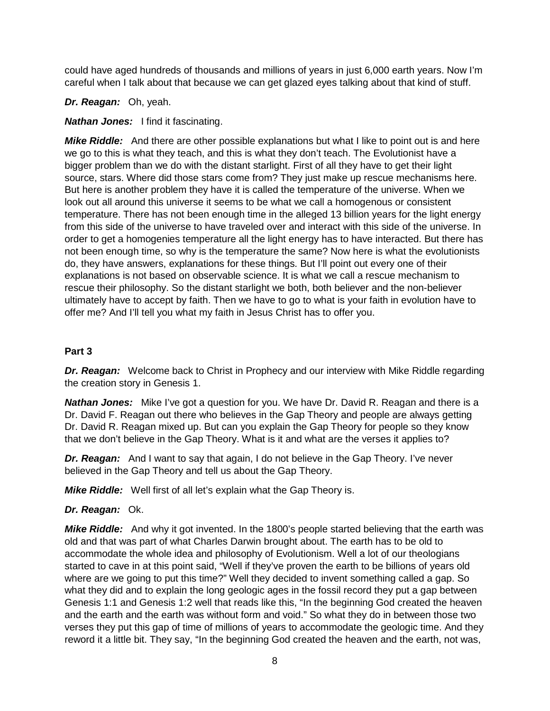could have aged hundreds of thousands and millions of years in just 6,000 earth years. Now I'm careful when I talk about that because we can get glazed eyes talking about that kind of stuff.

*Dr. Reagan:* Oh, yeah.

## *Nathan Jones:* I find it fascinating.

*Mike Riddle:* And there are other possible explanations but what I like to point out is and here we go to this is what they teach, and this is what they don't teach. The Evolutionist have a bigger problem than we do with the distant starlight. First of all they have to get their light source, stars. Where did those stars come from? They just make up rescue mechanisms here. But here is another problem they have it is called the temperature of the universe. When we look out all around this universe it seems to be what we call a homogenous or consistent temperature. There has not been enough time in the alleged 13 billion years for the light energy from this side of the universe to have traveled over and interact with this side of the universe. In order to get a homogenies temperature all the light energy has to have interacted. But there has not been enough time, so why is the temperature the same? Now here is what the evolutionists do, they have answers, explanations for these things. But I'll point out every one of their explanations is not based on observable science. It is what we call a rescue mechanism to rescue their philosophy. So the distant starlight we both, both believer and the non-believer ultimately have to accept by faith. Then we have to go to what is your faith in evolution have to offer me? And I'll tell you what my faith in Jesus Christ has to offer you.

## **Part 3**

*Dr. Reagan:* Welcome back to Christ in Prophecy and our interview with Mike Riddle regarding the creation story in Genesis 1.

*Nathan Jones:* Mike I've got a question for you. We have Dr. David R. Reagan and there is a Dr. David F. Reagan out there who believes in the Gap Theory and people are always getting Dr. David R. Reagan mixed up. But can you explain the Gap Theory for people so they know that we don't believe in the Gap Theory. What is it and what are the verses it applies to?

*Dr. Reagan:* And I want to say that again, I do not believe in the Gap Theory. I've never believed in the Gap Theory and tell us about the Gap Theory.

*Mike Riddle:* Well first of all let's explain what the Gap Theory is.

## *Dr. Reagan:* Ok.

*Mike Riddle:* And why it got invented. In the 1800's people started believing that the earth was old and that was part of what Charles Darwin brought about. The earth has to be old to accommodate the whole idea and philosophy of Evolutionism. Well a lot of our theologians started to cave in at this point said, "Well if they've proven the earth to be billions of years old where are we going to put this time?" Well they decided to invent something called a gap. So what they did and to explain the long geologic ages in the fossil record they put a gap between Genesis 1:1 and Genesis 1:2 well that reads like this, "In the beginning God created the heaven and the earth and the earth was without form and void." So what they do in between those two verses they put this gap of time of millions of years to accommodate the geologic time. And they reword it a little bit. They say, "In the beginning God created the heaven and the earth, not was,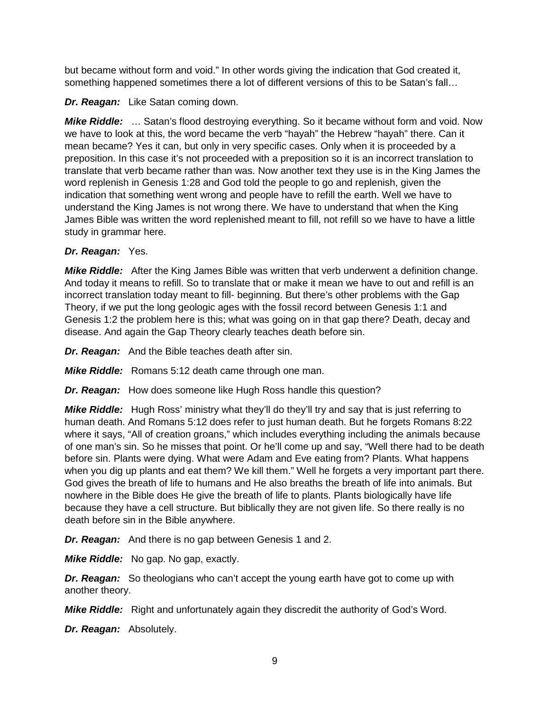but became without form and void." In other words giving the indication that God created it, something happened sometimes there a lot of different versions of this to be Satan's fall…

*Dr. Reagan:* Like Satan coming down.

*Mike Riddle:* … Satan's flood destroying everything. So it became without form and void. Now we have to look at this, the word became the verb "hayah" the Hebrew "hayah" there. Can it mean became? Yes it can, but only in very specific cases. Only when it is proceeded by a preposition. In this case it's not proceeded with a preposition so it is an incorrect translation to translate that verb became rather than was. Now another text they use is in the King James the word replenish in Genesis 1:28 and God told the people to go and replenish, given the indication that something went wrong and people have to refill the earth. Well we have to understand the King James is not wrong there. We have to understand that when the King James Bible was written the word replenished meant to fill, not refill so we have to have a little study in grammar here.

## *Dr. Reagan:* Yes.

*Mike Riddle:* After the King James Bible was written that verb underwent a definition change. And today it means to refill. So to translate that or make it mean we have to out and refill is an incorrect translation today meant to fill- beginning. But there's other problems with the Gap Theory, if we put the long geologic ages with the fossil record between Genesis 1:1 and Genesis 1:2 the problem here is this; what was going on in that gap there? Death, decay and disease. And again the Gap Theory clearly teaches death before sin.

*Dr. Reagan:* And the Bible teaches death after sin.

*Mike Riddle:* Romans 5:12 death came through one man.

*Dr. Reagan:* How does someone like Hugh Ross handle this question?

*Mike Riddle:* Hugh Ross' ministry what they'll do they'll try and say that is just referring to human death. And Romans 5:12 does refer to just human death. But he forgets Romans 8:22 where it says, "All of creation groans," which includes everything including the animals because of one man's sin. So he misses that point. Or he'll come up and say, "Well there had to be death before sin. Plants were dying. What were Adam and Eve eating from? Plants. What happens when you dig up plants and eat them? We kill them." Well he forgets a very important part there. God gives the breath of life to humans and He also breaths the breath of life into animals. But nowhere in the Bible does He give the breath of life to plants. Plants biologically have life because they have a cell structure. But biblically they are not given life. So there really is no death before sin in the Bible anywhere.

*Dr. Reagan:* And there is no gap between Genesis 1 and 2.

*Mike Riddle:* No gap. No gap, exactly.

*Dr. Reagan:* So theologians who can't accept the young earth have got to come up with another theory.

*Mike Riddle:* Right and unfortunately again they discredit the authority of God's Word.

*Dr. Reagan:* Absolutely.